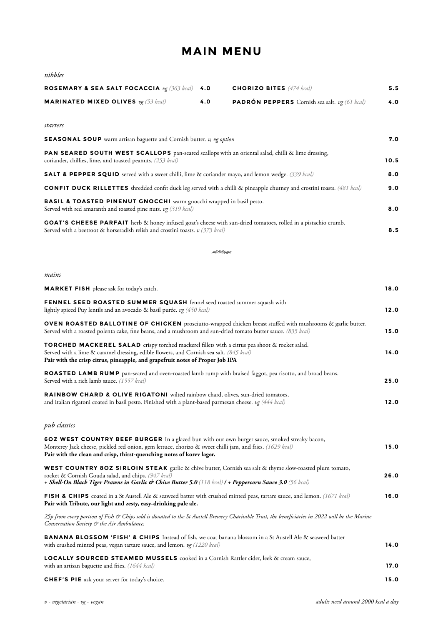## **MAIN MENU**

| nibbles                                                                                                                                                                                                                                                                                   |                                                                                                           |                                                               |      |  |  |
|-------------------------------------------------------------------------------------------------------------------------------------------------------------------------------------------------------------------------------------------------------------------------------------------|-----------------------------------------------------------------------------------------------------------|---------------------------------------------------------------|------|--|--|
| ROSEMARY & SEA SALT FOCACCIA vg (363 kcal)                                                                                                                                                                                                                                                | 4.0                                                                                                       | <b>CHORIZO BITES</b> (474 kcal)                               | 5.5  |  |  |
| <b>MARINATED MIXED OLIVES</b> $v$ g (53 kcal)                                                                                                                                                                                                                                             | 4.0                                                                                                       | <b>PADRÓN PEPPERS</b> Cornish sea salt. $vg(61 \text{ kcal})$ | 4.0  |  |  |
| starters                                                                                                                                                                                                                                                                                  |                                                                                                           |                                                               |      |  |  |
| <b>SEASONAL SOUP</b> warm artisan baguette and Cornish butter. v, vg option                                                                                                                                                                                                               |                                                                                                           |                                                               | 7.0  |  |  |
| coriander, chillies, lime, and toasted peanuts. (253 kcal)                                                                                                                                                                                                                                | <b>PAN SEARED SOUTH WEST SCALLOPS</b> pan-seared scallops with an oriental salad, chilli & lime dressing, |                                                               |      |  |  |
| <b>SALT &amp; PEPPER SQUID</b> served with a sweet chilli, lime & coriander mayo, and lemon wedge. (339 kcal)                                                                                                                                                                             |                                                                                                           |                                                               |      |  |  |
| <b>CONFIT DUCK RILLETTES</b> shredded confit duck leg served with a chilli & pineapple chutney and crostini toasts. (481 kcal)                                                                                                                                                            |                                                                                                           |                                                               | 9.0  |  |  |
| <b>BASIL &amp; TOASTED PINENUT GNOCCHI</b> warm gnocchi wrapped in basil pesto.<br>Served with red amaranth and toasted pine nuts. $v\mathbf{g}$ (319 kcal)                                                                                                                               |                                                                                                           |                                                               | 8.0  |  |  |
| <b>GOAT'S CHEESE PARFAIT</b> herb & honey infused goat's cheese with sun-dried tomatoes, rolled in a pistachio crumb.<br>Served with a beetroot & horseradish relish and crostini toasts. $v$ (373 kcal)                                                                                  |                                                                                                           |                                                               | 8.5  |  |  |
|                                                                                                                                                                                                                                                                                           |                                                                                                           | elbaaae                                                       |      |  |  |
| mains                                                                                                                                                                                                                                                                                     |                                                                                                           |                                                               |      |  |  |
| <b>MARKET FISH</b> please ask for today's catch.                                                                                                                                                                                                                                          |                                                                                                           |                                                               | 18.0 |  |  |
| FENNEL SEED ROASTED SUMMER SQUASH fennel seed roasted summer squash with<br>lightly spiced Puy lentils and an avocado & basil purée. vg (450 kcal)                                                                                                                                        |                                                                                                           |                                                               | 12.0 |  |  |
| OVEN ROASTED BALLOTINE OF CHICKEN prosciutto-wrapped chicken breast stuffed with mushrooms & garlic butter.<br>Served with a roasted polenta cake, fine beans, and a mushroom and sun-dried tomato butter sauce. (835 kcal)                                                               |                                                                                                           |                                                               | 15.0 |  |  |
| TORCHED MACKEREL SALAD crispy torched mackerel fillets with a citrus pea shoot & rocket salad.<br>Served with a lime & caramel dressing, edible flowers, and Cornish sea salt. (845 kcal)<br>Pair with the crisp citrus, pineapple, and grapefruit notes of Proper Job IPA                |                                                                                                           |                                                               | 14.0 |  |  |
| ROASTED LAMB RUMP pan-seared and oven-roasted lamb rump with braised faggot, pea risotto, and broad beans.<br>Served with a rich lamb sauce. (1557 kcal)                                                                                                                                  |                                                                                                           |                                                               |      |  |  |
| RAINBOW CHARD & OLIVE RIGATONI wilted rainbow chard, olives, sun-dried tomatoes,<br>and Italian rigatoni coated in basil pesto. Finished with a plant-based parmesan cheese. $v$ g (444 kcal)                                                                                             |                                                                                                           |                                                               |      |  |  |
| pub classics                                                                                                                                                                                                                                                                              |                                                                                                           |                                                               |      |  |  |
| <b>6OZ WEST COUNTRY BEEF BURGER</b> In a glazed bun with our own burger sauce, smoked streaky bacon,<br>Monterey Jack cheese, pickled red onion, gem lettuce, chorizo & sweet chilli jam, and fries. (1629 kcal)<br>Pair with the clean and crisp, thirst-quenching notes of korev lager. |                                                                                                           |                                                               | 15.0 |  |  |
| <b>WEST COUNTRY 80Z SIRLOIN STEAK</b> garlic & chive butter, Cornish sea salt & thyme slow-roasted plum tomato,<br>rocket & Cornish Gouda salad, and chips. (947 kcal)<br>+ Shell-On Black Tiger Prawns in Garlic & Chive Butter 5.0 (118 kcal) / + Peppercorn Sauce 3.0 (56 kcal)        |                                                                                                           |                                                               | 26.0 |  |  |
| FISH & CHIPS coated in a St Austell Ale & seaweed batter with crushed minted peas, tartare sauce, and lemon. (1671 kcal)<br>Pair with Tribute, our light and zesty, easy-drinking pale ale.                                                                                               |                                                                                                           |                                                               |      |  |  |
| 25p from every portion of Fish & Chips sold is donated to the St Austell Brewery Charitable Trust, the beneficiaries in 2022 will be the Marine<br>Conservation Society & the Air Ambulance.                                                                                              |                                                                                                           |                                                               |      |  |  |
| <b>BANANA BLOSSOM 'FISH' &amp; CHIPS</b> Instead of fish, we coat banana blossom in a St Austell Ale & seaweed batter<br>with crushed minted peas, vegan tartare sauce, and lemon. $v$ g (1220 kcal)                                                                                      |                                                                                                           |                                                               | 14.0 |  |  |
| LOCALLY SOURCED STEAMED MUSSELS cooked in a Cornish Rattler cider, leek & cream sauce,<br>with an artisan baguette and fries. (1644 kcal)                                                                                                                                                 |                                                                                                           |                                                               |      |  |  |

**CHEF'S PIE** ask your server for today's choice. **15.0**